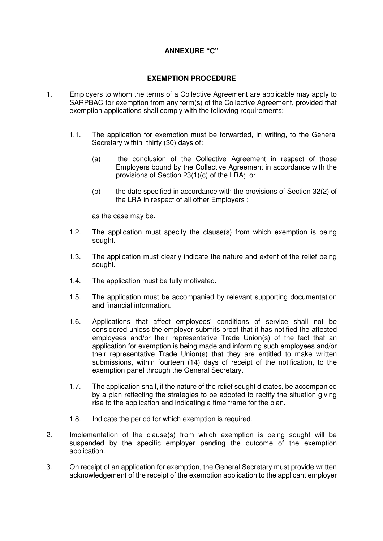## **ANNEXURE "C"**

## **EXEMPTION PROCEDURE**

- 1. Employers to whom the terms of a Collective Agreement are applicable may apply to SARPBAC for exemption from any term(s) of the Collective Agreement, provided that exemption applications shall comply with the following requirements:
	- 1.1. The application for exemption must be forwarded, in writing, to the General Secretary within thirty (30) days of:
		- (a) the conclusion of the Collective Agreement in respect of those Employers bound by the Collective Agreement in accordance with the provisions of Section 23(1)(c) of the LRA; or
		- (b) the date specified in accordance with the provisions of Section 32(2) of the LRA in respect of all other Employers ;

as the case may be.

- 1.2. The application must specify the clause(s) from which exemption is being sought.
- 1.3. The application must clearly indicate the nature and extent of the relief being sought.
- 1.4. The application must be fully motivated.
- 1.5. The application must be accompanied by relevant supporting documentation and financial information.
- 1.6. Applications that affect employees' conditions of service shall not be considered unless the employer submits proof that it has notified the affected employees and/or their representative Trade Union(s) of the fact that an application for exemption is being made and informing such employees and/or their representative Trade Union(s) that they are entitled to make written submissions, within fourteen (14) days of receipt of the notification, to the exemption panel through the General Secretary.
- 1.7. The application shall, if the nature of the relief sought dictates, be accompanied by a plan reflecting the strategies to be adopted to rectify the situation giving rise to the application and indicating a time frame for the plan.
- 1.8. Indicate the period for which exemption is required.
- 2. Implementation of the clause(s) from which exemption is being sought will be suspended by the specific employer pending the outcome of the exemption application.
- 3. On receipt of an application for exemption, the General Secretary must provide written acknowledgement of the receipt of the exemption application to the applicant employer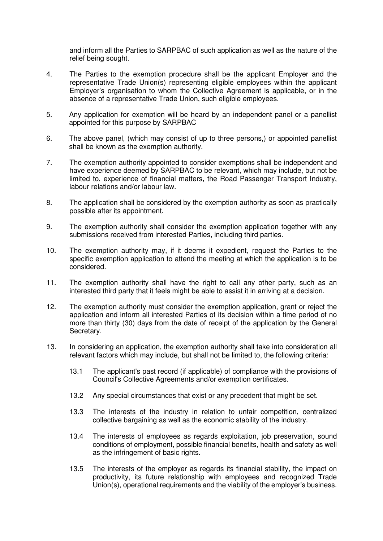and inform all the Parties to SARPBAC of such application as well as the nature of the relief being sought.

- 4. The Parties to the exemption procedure shall be the applicant Employer and the representative Trade Union(s) representing eligible employees within the applicant Employer's organisation to whom the Collective Agreement is applicable, or in the absence of a representative Trade Union, such eligible employees.
- 5. Any application for exemption will be heard by an independent panel or a panellist appointed for this purpose by SARPBAC
- 6. The above panel, (which may consist of up to three persons,) or appointed panellist shall be known as the exemption authority.
- 7. The exemption authority appointed to consider exemptions shall be independent and have experience deemed by SARPBAC to be relevant, which may include, but not be limited to, experience of financial matters, the Road Passenger Transport Industry, labour relations and/or labour law.
- 8. The application shall be considered by the exemption authority as soon as practically possible after its appointment.
- 9. The exemption authority shall consider the exemption application together with any submissions received from interested Parties, including third parties.
- 10. The exemption authority may, if it deems it expedient, request the Parties to the specific exemption application to attend the meeting at which the application is to be considered.
- 11. The exemption authority shall have the right to call any other party, such as an interested third party that it feels might be able to assist it in arriving at a decision.
- 12. The exemption authority must consider the exemption application, grant or reject the application and inform all interested Parties of its decision within a time period of no more than thirty (30) days from the date of receipt of the application by the General Secretary.
- 13. In considering an application, the exemption authority shall take into consideration all relevant factors which may include, but shall not be limited to, the following criteria:
	- 13.1 The applicant's past record (if applicable) of compliance with the provisions of Council's Collective Agreements and/or exemption certificates.
	- 13.2 Any special circumstances that exist or any precedent that might be set.
	- 13.3 The interests of the industry in relation to unfair competition, centralized collective bargaining as well as the economic stability of the industry.
	- 13.4 The interests of employees as regards exploitation, job preservation, sound conditions of employment, possible financial benefits, health and safety as well as the infringement of basic rights.
	- 13.5 The interests of the employer as regards its financial stability, the impact on productivity, its future relationship with employees and recognized Trade Union(s), operational requirements and the viability of the employer's business.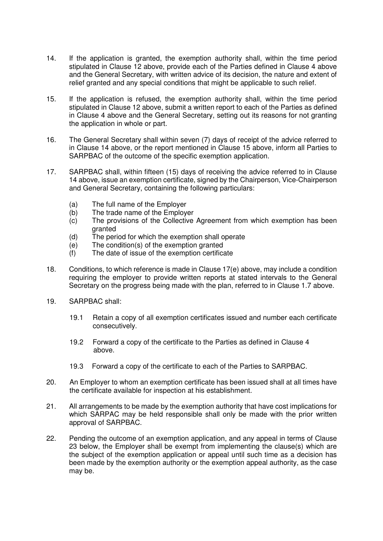- 14. If the application is granted, the exemption authority shall, within the time period stipulated in Clause 12 above, provide each of the Parties defined in Clause 4 above and the General Secretary, with written advice of its decision, the nature and extent of relief granted and any special conditions that might be applicable to such relief.
- 15. If the application is refused, the exemption authority shall, within the time period stipulated in Clause 12 above, submit a written report to each of the Parties as defined in Clause 4 above and the General Secretary, setting out its reasons for not granting the application in whole or part.
- 16. The General Secretary shall within seven (7) days of receipt of the advice referred to in Clause 14 above, or the report mentioned in Clause 15 above, inform all Parties to SARPBAC of the outcome of the specific exemption application.
- 17. SARPBAC shall, within fifteen (15) days of receiving the advice referred to in Clause 14 above, issue an exemption certificate, signed by the Chairperson, Vice-Chairperson and General Secretary, containing the following particulars:
	- (a) The full name of the Employer
	- (b) The trade name of the Employer
	- (c) The provisions of the Collective Agreement from which exemption has been granted
	- (d) The period for which the exemption shall operate
	- (e) The condition(s) of the exemption granted
	- (f) The date of issue of the exemption certificate
- 18. Conditions, to which reference is made in Clause 17(e) above, may include a condition requiring the employer to provide written reports at stated intervals to the General Secretary on the progress being made with the plan, referred to in Clause 1.7 above.
- 19. SARPBAC shall:
	- 19.1 Retain a copy of all exemption certificates issued and number each certificate consecutively.
	- 19.2 Forward a copy of the certificate to the Parties as defined in Clause 4 above.
	- 19.3 Forward a copy of the certificate to each of the Parties to SARPBAC.
- 20. An Employer to whom an exemption certificate has been issued shall at all times have the certificate available for inspection at his establishment.
- 21. All arrangements to be made by the exemption authority that have cost implications for which SARPAC may be held responsible shall only be made with the prior written approval of SARPBAC.
- 22. Pending the outcome of an exemption application, and any appeal in terms of Clause 23 below, the Employer shall be exempt from implementing the clause(s) which are the subject of the exemption application or appeal until such time as a decision has been made by the exemption authority or the exemption appeal authority, as the case may be.